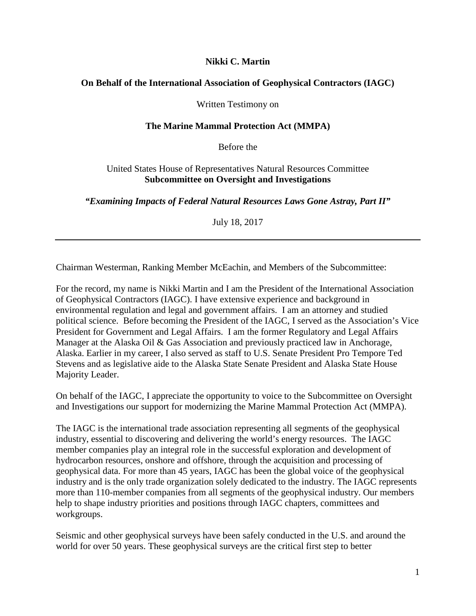### **Nikki C. Martin**

#### **On Behalf of the International Association of Geophysical Contractors (IAGC)**

Written Testimony on

#### **The Marine Mammal Protection Act (MMPA)**

Before the

#### United States House of Representatives Natural Resources Committee **Subcommittee on Oversight and Investigations**

*"Examining Impacts of Federal Natural Resources Laws Gone Astray, Part II"*

July 18, 2017

Chairman Westerman, Ranking Member McEachin, and Members of the Subcommittee:

For the record, my name is Nikki Martin and I am the President of the International Association of Geophysical Contractors (IAGC). I have extensive experience and background in environmental regulation and legal and government affairs. I am an attorney and studied political science. Before becoming the President of the IAGC, I served as the Association's Vice President for Government and Legal Affairs. I am the former Regulatory and Legal Affairs Manager at the Alaska Oil & Gas Association and previously practiced law in Anchorage, Alaska. Earlier in my career, I also served as staff to U.S. Senate President Pro Tempore Ted Stevens and as legislative aide to the Alaska State Senate President and Alaska State House Majority Leader.

On behalf of the IAGC, I appreciate the opportunity to voice to the Subcommittee on Oversight and Investigations our support for modernizing the Marine Mammal Protection Act (MMPA).

The IAGC is the international trade association representing all segments of the geophysical industry, essential to discovering and delivering the world's energy resources. The IAGC member companies play an integral role in the successful exploration and development of hydrocarbon resources, onshore and offshore, through the acquisition and processing of geophysical data. For more than 45 years, IAGC has been the global voice of the geophysical industry and is the only trade organization solely dedicated to the industry. The IAGC represents more than 110-member companies from all segments of the geophysical industry. Our members help to shape industry priorities and positions through IAGC chapters, committees and workgroups.

Seismic and other geophysical surveys have been safely conducted in the U.S. and around the world for over 50 years. These geophysical surveys are the critical first step to better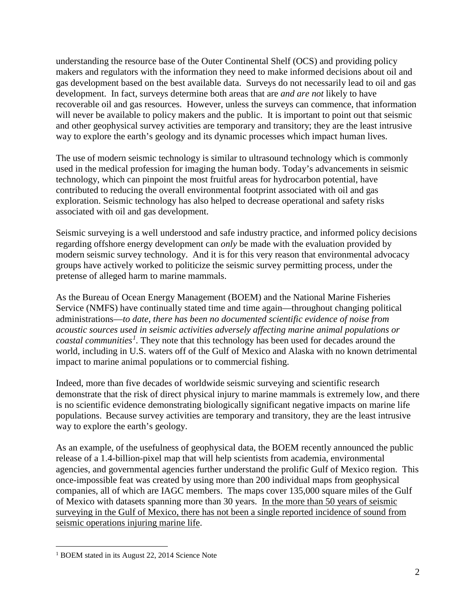understanding the resource base of the Outer Continental Shelf (OCS) and providing policy makers and regulators with the information they need to make informed decisions about oil and gas development based on the best available data. Surveys do not necessarily lead to oil and gas development. In fact, surveys determine both areas that are *and are not* likely to have recoverable oil and gas resources. However, unless the surveys can commence, that information will never be available to policy makers and the public. It is important to point out that seismic and other geophysical survey activities are temporary and transitory; they are the least intrusive way to explore the earth's geology and its dynamic processes which impact human lives.

The use of modern seismic technology is similar to ultrasound technology which is commonly used in the medical profession for imaging the human body. Today's advancements in seismic technology, which can pinpoint the most fruitful areas for hydrocarbon potential, have contributed to reducing the overall environmental footprint associated with oil and gas exploration. Seismic technology has also helped to decrease operational and safety risks associated with oil and gas development.

Seismic surveying is a well understood and safe industry practice, and informed policy decisions regarding offshore energy development can *only* be made with the evaluation provided by modern seismic survey technology. And it is for this very reason that environmental advocacy groups have actively worked to politicize the seismic survey permitting process, under the pretense of alleged harm to marine mammals.

As the Bureau of Ocean Energy Management (BOEM) and the National Marine Fisheries Service (NMFS) have continually stated time and time again—throughout changing political administrations—*to date, there has been no documented scientific evidence of noise from acoustic sources used in seismic activities adversely affecting marine animal populations or coastal communities[1](#page-1-0) .* They note that this technology has been used for decades around the world, including in U.S. waters off of the Gulf of Mexico and Alaska with no known detrimental impact to marine animal populations or to commercial fishing.

Indeed, more than five decades of worldwide seismic surveying and scientific research demonstrate that the risk of direct physical injury to marine mammals is extremely low, and there is no scientific evidence demonstrating biologically significant negative impacts on marine life populations. Because survey activities are temporary and transitory, they are the least intrusive way to explore the earth's geology.

As an example, of the usefulness of geophysical data, the BOEM recently announced the public release of a 1.4-billion-pixel map that will help scientists from academia, environmental agencies, and governmental agencies further understand the prolific Gulf of Mexico region. This once-impossible feat was created by using more than 200 individual maps from geophysical companies, all of which are IAGC members. The maps cover 135,000 square miles of the Gulf of Mexico with datasets spanning more than 30 years. In the more than 50 years of seismic surveying in the Gulf of Mexico, there has not been a single reported incidence of sound from seismic operations injuring marine life.

<span id="page-1-0"></span><sup>&</sup>lt;sup>1</sup> BOEM stated in its August 22, 2014 Science Note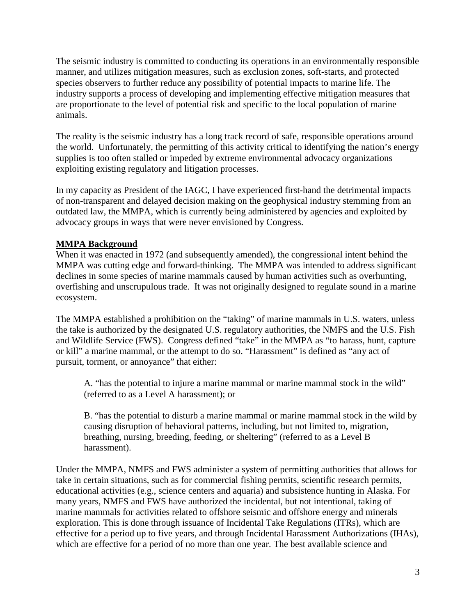The seismic industry is committed to conducting its operations in an environmentally responsible manner, and utilizes mitigation measures, such as exclusion zones, soft-starts, and protected species observers to further reduce any possibility of potential impacts to marine life. The industry supports a process of developing and implementing effective mitigation measures that are proportionate to the level of potential risk and specific to the local population of marine animals.

The reality is the seismic industry has a long track record of safe, responsible operations around the world. Unfortunately, the permitting of this activity critical to identifying the nation's energy supplies is too often stalled or impeded by extreme environmental advocacy organizations exploiting existing regulatory and litigation processes.

In my capacity as President of the IAGC, I have experienced first-hand the detrimental impacts of non-transparent and delayed decision making on the geophysical industry stemming from an outdated law, the MMPA, which is currently being administered by agencies and exploited by advocacy groups in ways that were never envisioned by Congress.

## **MMPA Background**

When it was enacted in 1972 (and subsequently amended), the congressional intent behind the MMPA was cutting edge and forward-thinking. The MMPA was intended to address significant declines in some species of marine mammals caused by human activities such as overhunting, overfishing and unscrupulous trade. It was not originally designed to regulate sound in a marine ecosystem.

The MMPA established a prohibition on the "taking" of marine mammals in U.S. waters, unless the take is authorized by the designated U.S. regulatory authorities, the NMFS and the U.S. Fish and Wildlife Service (FWS). Congress defined "take" in the MMPA as "to harass, hunt, capture or kill" a marine mammal, or the attempt to do so. "Harassment" is defined as "any act of pursuit, torment, or annoyance" that either:

A. "has the potential to injure a marine mammal or marine mammal stock in the wild" (referred to as a Level A harassment); or

B. "has the potential to disturb a marine mammal or marine mammal stock in the wild by causing disruption of behavioral patterns, including, but not limited to, migration, breathing, nursing, breeding, feeding, or sheltering" (referred to as a Level B harassment).

Under the MMPA, NMFS and FWS administer a system of permitting authorities that allows for take in certain situations, such as for commercial fishing permits, scientific research permits, educational activities (e.g., science centers and aquaria) and subsistence hunting in Alaska. For many years, NMFS and FWS have authorized the incidental, but not intentional, taking of marine mammals for activities related to offshore seismic and offshore energy and minerals exploration. This is done through issuance of Incidental Take Regulations (ITRs), which are effective for a period up to five years, and through Incidental Harassment Authorizations (IHAs), which are effective for a period of no more than one year. The best available science and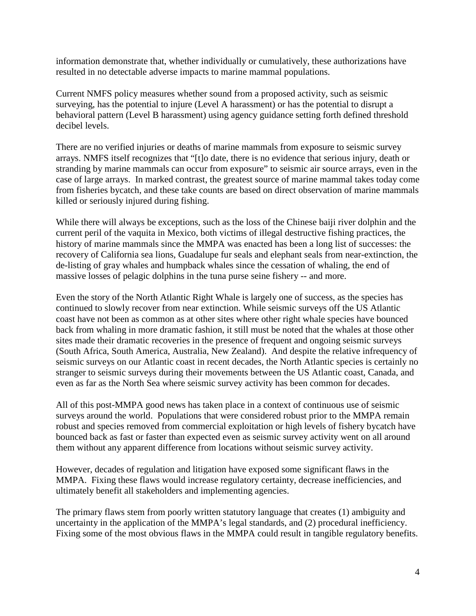information demonstrate that, whether individually or cumulatively, these authorizations have resulted in no detectable adverse impacts to marine mammal populations.

Current NMFS policy measures whether sound from a proposed activity, such as seismic surveying, has the potential to injure (Level A harassment) or has the potential to disrupt a behavioral pattern (Level B harassment) using agency guidance setting forth defined threshold decibel levels.

There are no verified injuries or deaths of marine mammals from exposure to seismic survey arrays. NMFS itself recognizes that "[t]o date, there is no evidence that serious injury, death or stranding by marine mammals can occur from exposure" to seismic air source arrays, even in the case of large arrays. In marked contrast, the greatest source of marine mammal takes today come from fisheries bycatch, and these take counts are based on direct observation of marine mammals killed or seriously injured during fishing.

While there will always be exceptions, such as the loss of the Chinese baiji river dolphin and the current peril of the vaquita in Mexico, both victims of illegal destructive fishing practices, the history of marine mammals since the MMPA was enacted has been a long list of successes: the recovery of California sea lions, Guadalupe fur seals and elephant seals from near-extinction, the de-listing of gray whales and humpback whales since the cessation of whaling, the end of massive losses of pelagic dolphins in the tuna purse seine fishery -- and more.

Even the story of the North Atlantic Right Whale is largely one of success, as the species has continued to slowly recover from near extinction. While seismic surveys off the US Atlantic coast have not been as common as at other sites where other right whale species have bounced back from whaling in more dramatic fashion, it still must be noted that the whales at those other sites made their dramatic recoveries in the presence of frequent and ongoing seismic surveys (South Africa, South America, Australia, New Zealand). And despite the relative infrequency of seismic surveys on our Atlantic coast in recent decades, the North Atlantic species is certainly no stranger to seismic surveys during their movements between the US Atlantic coast, Canada, and even as far as the North Sea where seismic survey activity has been common for decades.

All of this post-MMPA good news has taken place in a context of continuous use of seismic surveys around the world. Populations that were considered robust prior to the MMPA remain robust and species removed from commercial exploitation or high levels of fishery bycatch have bounced back as fast or faster than expected even as seismic survey activity went on all around them without any apparent difference from locations without seismic survey activity.

However, decades of regulation and litigation have exposed some significant flaws in the MMPA. Fixing these flaws would increase regulatory certainty, decrease inefficiencies, and ultimately benefit all stakeholders and implementing agencies.

The primary flaws stem from poorly written statutory language that creates (1) ambiguity and uncertainty in the application of the MMPA's legal standards, and (2) procedural inefficiency. Fixing some of the most obvious flaws in the MMPA could result in tangible regulatory benefits.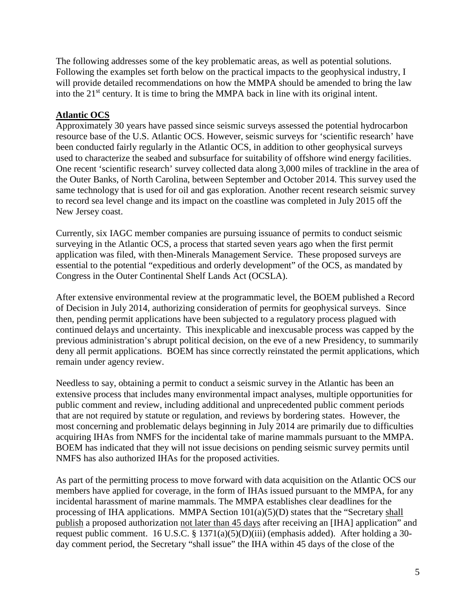The following addresses some of the key problematic areas, as well as potential solutions. Following the examples set forth below on the practical impacts to the geophysical industry, I will provide detailed recommendations on how the MMPA should be amended to bring the law into the 21<sup>st</sup> century. It is time to bring the MMPA back in line with its original intent.

# **Atlantic OCS**

Approximately 30 years have passed since seismic surveys assessed the potential hydrocarbon resource base of the U.S. Atlantic OCS. However, seismic surveys for 'scientific research' have been conducted fairly regularly in the Atlantic OCS, in addition to other geophysical surveys used to characterize the seabed and subsurface for suitability of offshore wind energy facilities. One recent 'scientific research' survey collected data along 3,000 miles of trackline in the area of the Outer Banks, of North Carolina, between September and October 2014. This survey used the same technology that is used for oil and gas exploration. Another recent research seismic survey to record sea level change and its impact on the coastline was completed in July 2015 off the New Jersey coast.

Currently, six IAGC member companies are pursuing issuance of permits to conduct seismic surveying in the Atlantic OCS, a process that started seven years ago when the first permit application was filed, with then-Minerals Management Service. These proposed surveys are essential to the potential "expeditious and orderly development" of the OCS, as mandated by Congress in the Outer Continental Shelf Lands Act (OCSLA).

After extensive environmental review at the programmatic level, the BOEM published a Record of Decision in July 2014, authorizing consideration of permits for geophysical surveys. Since then, pending permit applications have been subjected to a regulatory process plagued with continued delays and uncertainty. This inexplicable and inexcusable process was capped by the previous administration's abrupt political decision, on the eve of a new Presidency, to summarily deny all permit applications. BOEM has since correctly reinstated the permit applications, which remain under agency review.

Needless to say, obtaining a permit to conduct a seismic survey in the Atlantic has been an extensive process that includes many environmental impact analyses, multiple opportunities for public comment and review, including additional and unprecedented public comment periods that are not required by statute or regulation, and reviews by bordering states. However, the most concerning and problematic delays beginning in July 2014 are primarily due to difficulties acquiring IHAs from NMFS for the incidental take of marine mammals pursuant to the MMPA. BOEM has indicated that they will not issue decisions on pending seismic survey permits until NMFS has also authorized IHAs for the proposed activities.

As part of the permitting process to move forward with data acquisition on the Atlantic OCS our members have applied for coverage, in the form of IHAs issued pursuant to the MMPA, for any incidental harassment of marine mammals. The MMPA establishes clear deadlines for the processing of IHA applications. MMPA Section  $101(a)(5)(D)$  states that the "Secretary shall publish a proposed authorization not later than 45 days after receiving an [IHA] application" and request public comment. 16 U.S.C. § 1371(a)(5)(D)(iii) (emphasis added). After holding a 30day comment period, the Secretary "shall issue" the IHA within 45 days of the close of the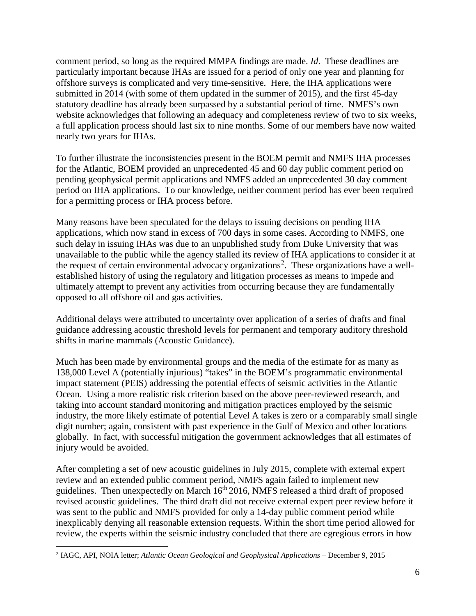comment period, so long as the required MMPA findings are made. *Id*. These deadlines are particularly important because IHAs are issued for a period of only one year and planning for offshore surveys is complicated and very time-sensitive. Here, the IHA applications were submitted in 2014 (with some of them updated in the summer of 2015), and the first 45-day statutory deadline has already been surpassed by a substantial period of time. NMFS's own website acknowledges that following an adequacy and completeness review of two to six weeks, a full application process should last six to nine months. Some of our members have now waited nearly two years for IHAs.

To further illustrate the inconsistencies present in the BOEM permit and NMFS IHA processes for the Atlantic, BOEM provided an unprecedented 45 and 60 day public comment period on pending geophysical permit applications and NMFS added an unprecedented 30 day comment period on IHA applications. To our knowledge, neither comment period has ever been required for a permitting process or IHA process before.

Many reasons have been speculated for the delays to issuing decisions on pending IHA applications, which now stand in excess of 700 days in some cases. According to NMFS, one such delay in issuing IHAs was due to an unpublished study from Duke University that was unavailable to the public while the agency stalled its review of IHA applications to consider it at the request of certain environmental advocacy organizations<sup>[2](#page-5-0)</sup>. These organizations have a wellestablished history of using the regulatory and litigation processes as means to impede and ultimately attempt to prevent any activities from occurring because they are fundamentally opposed to all offshore oil and gas activities.

Additional delays were attributed to uncertainty over application of a series of drafts and final guidance addressing acoustic threshold levels for permanent and temporary auditory threshold shifts in marine mammals (Acoustic Guidance).

Much has been made by environmental groups and the media of the estimate for as many as 138,000 Level A (potentially injurious) "takes" in the BOEM's programmatic environmental impact statement (PEIS) addressing the potential effects of seismic activities in the Atlantic Ocean. Using a more realistic risk criterion based on the above peer-reviewed research, and taking into account standard monitoring and mitigation practices employed by the seismic industry, the more likely estimate of potential Level A takes is zero or a comparably small single digit number; again, consistent with past experience in the Gulf of Mexico and other locations globally. In fact, with successful mitigation the government acknowledges that all estimates of injury would be avoided.

After completing a set of new acoustic guidelines in July 2015, complete with external expert review and an extended public comment period, NMFS again failed to implement new guidelines. Then unexpectedly on March  $16<sup>th</sup> 2016$ , NMFS released a third draft of proposed revised acoustic guidelines. The third draft did not receive external expert peer review before it was sent to the public and NMFS provided for only a 14-day public comment period while inexplicably denying all reasonable extension requests. Within the short time period allowed for review, the experts within the seismic industry concluded that there are egregious errors in how

<span id="page-5-0"></span> <sup>2</sup> IAGC, API, NOIA letter; *Atlantic Ocean Geological and Geophysical Applications* – December 9, 2015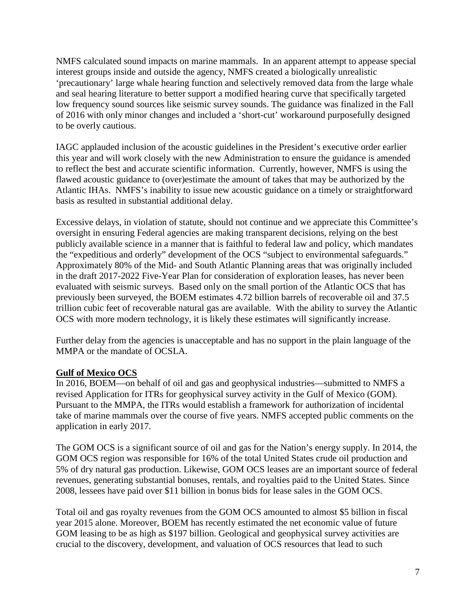NMFS calculated sound impacts on marine mammals. In an apparent attempt to appease special interest groups inside and outside the agency, NMFS created a biologically unrealistic 'precautionary' large whale hearing function and selectively removed data from the large whale and seal hearing literature to better support a modified hearing curve that specifically targeted low frequency sound sources like seismic survey sounds. The guidance was finalized in the Fall of 2016 with only minor changes and included a 'short-cut' workaround purposefully designed to be overly cautious.

IAGC applauded inclusion of the acoustic guidelines in the President's executive order earlier this year and will work closely with the new Administration to ensure the guidance is amended to reflect the best and accurate scientific information. Currently, however, NMFS is using the flawed acoustic guidance to (over)estimate the amount of takes that may be authorized by the Atlantic IHAs. NMFS's inability to issue new acoustic guidance on a timely or straightforward basis as resulted in substantial additional delay.

Excessive delays, in violation of statute, should not continue and we appreciate this Committee's oversight in ensuring Federal agencies are making transparent decisions, relying on the best publicly available science in a manner that is faithful to federal law and policy, which mandates the "expeditious and orderly" development of the OCS "subject to environmental safeguards." Approximately 80% of the Mid- and South Atlantic Planning areas that was originally included in the draft 2017-2022 Five-Year Plan for consideration of exploration leases, has never been evaluated with seismic surveys. Based only on the small portion of the Atlantic OCS that has previously been surveyed, the BOEM estimates 4.72 billion barrels of recoverable oil and 37.5 trillion cubic feet of recoverable natural gas are available. With the ability to survey the Atlantic OCS with more modern technology, it is likely these estimates will significantly increase.

Further delay from the agencies is unacceptable and has no support in the plain language of the MMPA or the mandate of OCSLA.

### **Gulf of Mexico OCS**

In 2016, BOEM—on behalf of oil and gas and geophysical industries—submitted to NMFS a revised Application for ITRs for geophysical survey activity in the Gulf of Mexico (GOM). Pursuant to the MMPA, the ITRs would establish a framework for authorization of incidental take of marine mammals over the course of five years. NMFS accepted public comments on the application in early 2017.

The GOM OCS is a significant source of oil and gas for the Nation's energy supply. In 2014, the GOM OCS region was responsible for 16% of the total United States crude oil production and 5% of dry natural gas production. Likewise, GOM OCS leases are an important source of federal revenues, generating substantial bonuses, rentals, and royalties paid to the United States. Since 2008, lessees have paid over \$11 billion in bonus bids for lease sales in the GOM OCS.

Total oil and gas royalty revenues from the GOM OCS amounted to almost \$5 billion in fiscal year 2015 alone. Moreover, BOEM has recently estimated the net economic value of future GOM leasing to be as high as \$197 billion. Geological and geophysical survey activities are crucial to the discovery, development, and valuation of OCS resources that lead to such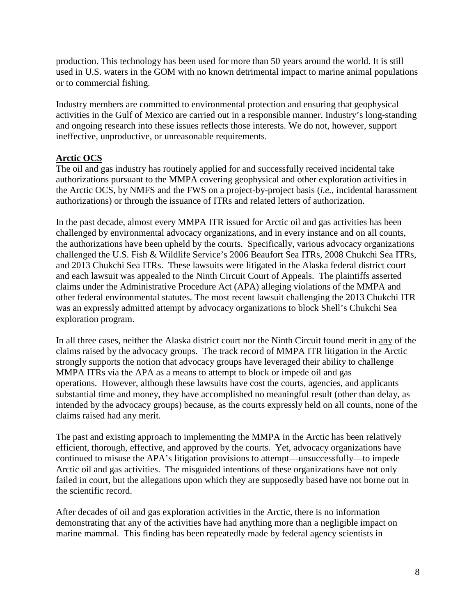production. This technology has been used for more than 50 years around the world. It is still used in U.S. waters in the GOM with no known detrimental impact to marine animal populations or to commercial fishing.

Industry members are committed to environmental protection and ensuring that geophysical activities in the Gulf of Mexico are carried out in a responsible manner. Industry's long-standing and ongoing research into these issues reflects those interests. We do not, however, support ineffective, unproductive, or unreasonable requirements.

### **Arctic OCS**

The oil and gas industry has routinely applied for and successfully received incidental take authorizations pursuant to the MMPA covering geophysical and other exploration activities in the Arctic OCS, by NMFS and the FWS on a project-by-project basis (*i.e.*, incidental harassment authorizations) or through the issuance of ITRs and related letters of authorization.

In the past decade, almost every MMPA ITR issued for Arctic oil and gas activities has been challenged by environmental advocacy organizations, and in every instance and on all counts, the authorizations have been upheld by the courts. Specifically, various advocacy organizations challenged the U.S. Fish & Wildlife Service's 2006 Beaufort Sea ITRs, 2008 Chukchi Sea ITRs, and 2013 Chukchi Sea ITRs. These lawsuits were litigated in the Alaska federal district court and each lawsuit was appealed to the Ninth Circuit Court of Appeals. The plaintiffs asserted claims under the Administrative Procedure Act (APA) alleging violations of the MMPA and other federal environmental statutes. The most recent lawsuit challenging the 2013 Chukchi ITR was an expressly admitted attempt by advocacy organizations to block Shell's Chukchi Sea exploration program.

In all three cases, neither the Alaska district court nor the Ninth Circuit found merit in any of the claims raised by the advocacy groups. The track record of MMPA ITR litigation in the Arctic strongly supports the notion that advocacy groups have leveraged their ability to challenge MMPA ITRs via the APA as a means to attempt to block or impede oil and gas operations. However, although these lawsuits have cost the courts, agencies, and applicants substantial time and money, they have accomplished no meaningful result (other than delay, as intended by the advocacy groups) because, as the courts expressly held on all counts, none of the claims raised had any merit.

The past and existing approach to implementing the MMPA in the Arctic has been relatively efficient, thorough, effective, and approved by the courts. Yet, advocacy organizations have continued to misuse the APA's litigation provisions to attempt—unsuccessfully—to impede Arctic oil and gas activities. The misguided intentions of these organizations have not only failed in court, but the allegations upon which they are supposedly based have not borne out in the scientific record.

After decades of oil and gas exploration activities in the Arctic, there is no information demonstrating that any of the activities have had anything more than a negligible impact on marine mammal. This finding has been repeatedly made by federal agency scientists in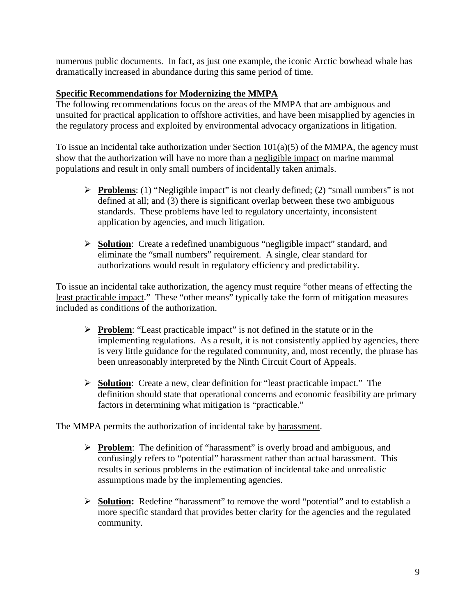numerous public documents. In fact, as just one example, the iconic Arctic bowhead whale has dramatically increased in abundance during this same period of time.

# **Specific Recommendations for Modernizing the MMPA**

The following recommendations focus on the areas of the MMPA that are ambiguous and unsuited for practical application to offshore activities, and have been misapplied by agencies in the regulatory process and exploited by environmental advocacy organizations in litigation.

To issue an incidental take authorization under Section  $101(a)(5)$  of the MMPA, the agency must show that the authorization will have no more than a negligible impact on marine mammal populations and result in only small numbers of incidentally taken animals.

- **Problems**: (1) "Negligible impact" is not clearly defined; (2) "small numbers" is not defined at all; and (3) there is significant overlap between these two ambiguous standards. These problems have led to regulatory uncertainty, inconsistent application by agencies, and much litigation.
- **Solution**: Create a redefined unambiguous "negligible impact" standard, and eliminate the "small numbers" requirement. A single, clear standard for authorizations would result in regulatory efficiency and predictability.

To issue an incidental take authorization, the agency must require "other means of effecting the least practicable impact." These "other means" typically take the form of mitigation measures included as conditions of the authorization.

- **Problem**: "Least practicable impact" is not defined in the statute or in the implementing regulations. As a result, it is not consistently applied by agencies, there is very little guidance for the regulated community, and, most recently, the phrase has been unreasonably interpreted by the Ninth Circuit Court of Appeals.
- **Solution**: Create a new, clear definition for "least practicable impact." The definition should state that operational concerns and economic feasibility are primary factors in determining what mitigation is "practicable."

The MMPA permits the authorization of incidental take by harassment.

- **Problem:** The definition of "harassment" is overly broad and ambiguous, and confusingly refers to "potential" harassment rather than actual harassment. This results in serious problems in the estimation of incidental take and unrealistic assumptions made by the implementing agencies.
- **Solution:** Redefine "harassment" to remove the word "potential" and to establish a more specific standard that provides better clarity for the agencies and the regulated community.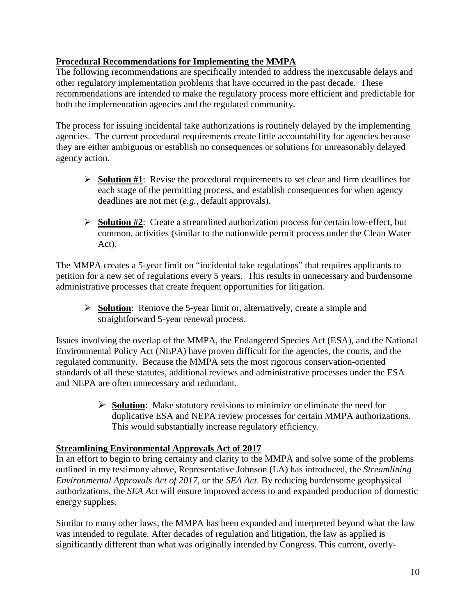## **Procedural Recommendations for Implementing the MMPA**

The following recommendations are specifically intended to address the inexcusable delays and other regulatory implementation problems that have occurred in the past decade. These recommendations are intended to make the regulatory process more efficient and predictable for both the implementation agencies and the regulated community.

The process for issuing incidental take authorizations is routinely delayed by the implementing agencies. The current procedural requirements create little accountability for agencies because they are either ambiguous or establish no consequences or solutions for unreasonably delayed agency action.

- **Solution #1**: Revise the procedural requirements to set clear and firm deadlines for each stage of the permitting process, and establish consequences for when agency deadlines are not met (*e.g.*, default approvals).
- **Solution #2**: Create a streamlined authorization process for certain low-effect, but common, activities (similar to the nationwide permit process under the Clean Water Act).

The MMPA creates a 5-year limit on "incidental take regulations" that requires applicants to petition for a new set of regulations every 5 years. This results in unnecessary and burdensome administrative processes that create frequent opportunities for litigation.

 **Solution**: Remove the 5-year limit or, alternatively, create a simple and straightforward 5-year renewal process.

Issues involving the overlap of the MMPA, the Endangered Species Act (ESA), and the National Environmental Policy Act (NEPA) have proven difficult for the agencies, the courts, and the regulated community. Because the MMPA sets the most rigorous conservation-oriented standards of all these statutes, additional reviews and administrative processes under the ESA and NEPA are often unnecessary and redundant.

> **Solution:** Make statutory revisions to minimize or eliminate the need for duplicative ESA and NEPA review processes for certain MMPA authorizations. This would substantially increase regulatory efficiency.

### **Streamlining Environmental Approvals Act of 2017**

In an effort to begin to bring certainty and clarity to the MMPA and solve some of the problems outlined in my testimony above, Representative Johnson (LA) has introduced, the *Streamlining Environmental Approvals Act of 2017,* or the *SEA Act*. By reducing burdensome geophysical authorizations, the *SEA Act* will ensure improved access to and expanded production of domestic energy supplies.

Similar to many other laws, the MMPA has been expanded and interpreted beyond what the law was intended to regulate. After decades of regulation and litigation, the law as applied is significantly different than what was originally intended by Congress. This current, overly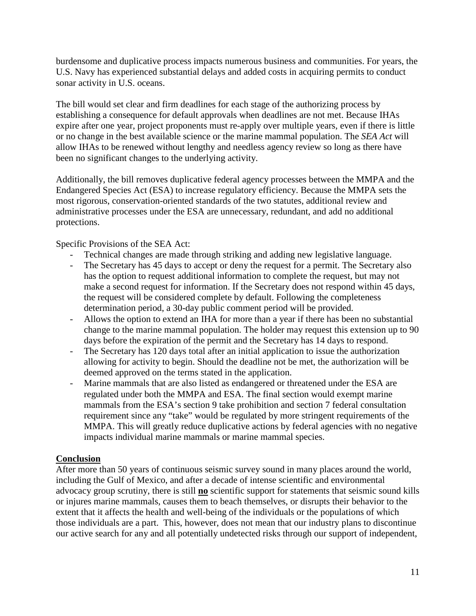burdensome and duplicative process impacts numerous business and communities. For years, the U.S. Navy has experienced substantial delays and added costs in acquiring permits to conduct sonar activity in U.S. oceans.

The bill would set clear and firm deadlines for each stage of the authorizing process by establishing a consequence for default approvals when deadlines are not met. Because IHAs expire after one year, project proponents must re-apply over multiple years, even if there is little or no change in the best available science or the marine mammal population. The *SEA Act* will allow IHAs to be renewed without lengthy and needless agency review so long as there have been no significant changes to the underlying activity.

Additionally, the bill removes duplicative federal agency processes between the MMPA and the Endangered Species Act (ESA) to increase regulatory efficiency. Because the MMPA sets the most rigorous, conservation-oriented standards of the two statutes, additional review and administrative processes under the ESA are unnecessary, redundant, and add no additional protections.

Specific Provisions of the SEA Act:

- Technical changes are made through striking and adding new legislative language.
- The Secretary has 45 days to accept or deny the request for a permit. The Secretary also has the option to request additional information to complete the request, but may not make a second request for information. If the Secretary does not respond within 45 days, the request will be considered complete by default. Following the completeness determination period, a 30-day public comment period will be provided.
- Allows the option to extend an IHA for more than a year if there has been no substantial change to the marine mammal population. The holder may request this extension up to 90 days before the expiration of the permit and the Secretary has 14 days to respond.
- The Secretary has 120 days total after an initial application to issue the authorization allowing for activity to begin. Should the deadline not be met, the authorization will be deemed approved on the terms stated in the application.
- Marine mammals that are also listed as endangered or threatened under the ESA are regulated under both the MMPA and ESA. The final section would exempt marine mammals from the ESA's section 9 take prohibition and section 7 federal consultation requirement since any "take" would be regulated by more stringent requirements of the MMPA. This will greatly reduce duplicative actions by federal agencies with no negative impacts individual marine mammals or marine mammal species.

#### **Conclusion**

After more than 50 years of continuous seismic survey sound in many places around the world, including the Gulf of Mexico, and after a decade of intense scientific and environmental advocacy group scrutiny, there is still **no** scientific support for statements that seismic sound kills or injures marine mammals, causes them to beach themselves, or disrupts their behavior to the extent that it affects the health and well-being of the individuals or the populations of which those individuals are a part. This, however, does not mean that our industry plans to discontinue our active search for any and all potentially undetected risks through our support of independent,